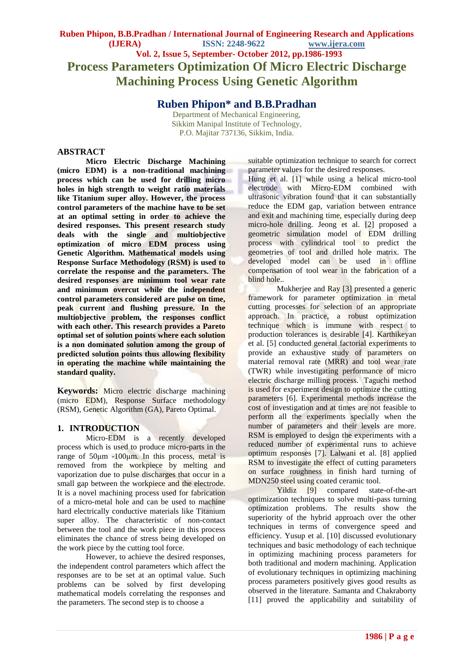**Ruben Phipon\* and B.B.Pradhan**

Department of Mechanical Engineering, Sikkim Manipal Institute of Technology, P.O. Majitar 737136, Sikkim, India.

### **ABSTRACT**

**Micro Electric Discharge Machining (micro EDM) is a non-traditional machining process which can be used for drilling micro holes in high strength to weight ratio materials like Titanium super alloy. However, the process control parameters of the machine have to be set at an optimal setting in order to achieve the desired responses. This present research study deals with the single and multiobjective optimization of micro EDM process using Genetic Algorithm. Mathematical models using Response Surface Methodology (RSM) is used to correlate the response and the parameters. The desired responses are minimum tool wear rate and minimum overcut while the independent control parameters considered are pulse on time, peak current and flushing pressure. In the multiobjective problem, the responses conflict with each other. This research provides a Pareto optimal set of solution points where each solution is a non dominated solution among the group of predicted solution points thus allowing flexibility in operating the machine while maintaining the standard quality.**

**Keywords:** Micro electric discharge machining (micro EDM), Response Surface methodology (RSM), Genetic Algorithm (GA), Pareto Optimal.

#### **1. INTRODUCTION**

Micro-EDM is a recently developed process which is used to produce micro-parts in the range of 50μm -100μm. In this process, metal is removed from the workpiece by melting and vaporization due to pulse discharges that occur in a small gap between the workpiece and the electrode. It is a novel machining process used for fabrication of a micro-metal hole and can be used to machine hard electrically conductive materials like Titanium super alloy. The characteristic of non-contact between the tool and the work piece in this process eliminates the chance of stress being developed on the work piece by the cutting tool force.

However, to achieve the desired responses, the independent control parameters which affect the responses are to be set at an optimal value. Such problems can be solved by first developing mathematical models correlating the responses and the parameters. The second step is to choose a

suitable optimization technique to search for correct parameter values for the desired responses.

Hung et al. [1] while using a helical micro-tool electrode with Micro-EDM combined with ultrasonic vibration found that it can substantially reduce the EDM gap, variation between entrance and exit and machining time, especially during deep micro-hole drilling. Jeong et al. [2] proposed a geometric simulation model of EDM drilling process with cylindrical tool to predict the geometries of tool and drilled hole matrix. The developed model can be used in offline compensation of tool wear in the fabrication of a blind hole..

Mukherjee and Ray [3] presented a generic framework for parameter optimization in metal cutting processes for selection of an appropriate approach. In practice, a robust optimization technique which is immune with respect to production tolerances is desirable [4]. Karthikeyan et al. [5] conducted general factorial experiments to provide an exhaustive study of parameters on material removal rate (MRR) and tool wear rate (TWR) while investigating performance of micro electric discharge milling process. Taguchi method is used for experiment design to optimize the cutting parameters [6]. Experimental methods increase the cost of investigation and at times are not feasible to perform all the experiments specially when the number of parameters and their levels are more. RSM is employed to design the experiments with a reduced number of experimental runs to achieve optimum responses [7]. Lalwani et al. [8] applied RSM to investigate the effect of cutting parameters on surface roughness in finish hard turning of MDN250 steel using coated ceramic tool.

Yildiz [9] compared state-of-the-art optimization techniques to solve multi-pass turning optimization problems. The results show the superiority of the hybrid approach over the other techniques in terms of convergence speed and efficiency. Yusup et al. [10] discussed evolutionary techniques and basic methodology of each technique in optimizing machining process parameters for both traditional and modern machining. Application of evolutionary techniques in optimizing machining process parameters positively gives good results as observed in the literature. Samanta and Chakraborty [11] proved the applicability and suitability of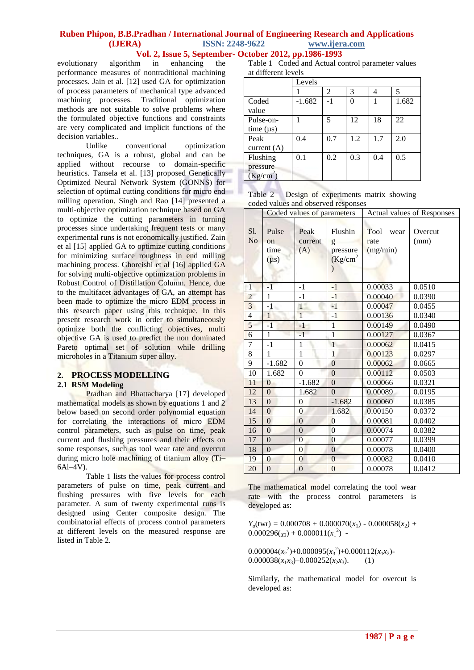# **Ruben Phipon, B.B.Pradhan / International Journal of Engineering Research and Applications (IJERA) ISSN: 2248-9622 www.ijera.com**

 **Vol. 2, Issue 5, September- October 2012, pp.1986-1993**

evolutionary algorithm in enhancing the performance measures of nontraditional machining processes. Jain et al. [12] used GA for optimization of process parameters of mechanical type advanced machining processes. Traditional optimization methods are not suitable to solve problems where the formulated objective functions and constraints are very complicated and implicit functions of the decision variables..

Unlike conventional optimization techniques, GA is a robust, global and can be applied without recourse to domain-specific heuristics. Tansela et al. [13] proposed Genetically Optimized Neural Network System (GONNS) for selection of optimal cutting conditions for micro end milling operation. Singh and Rao [14] presented a multi-objective optimization technique based on GA to optimize the cutting parameters in turning processes since undertaking frequent tests or many experimental runs is not economically justified. Zain et al [15] applied GA to optimize cutting conditions for minimizing surface roughness in end milling machining process. Ghoreishi et al [16] applied GA for solving multi-objective optimization problems in Robust Control of Distillation Column. Hence, due to the multifacet advantages of GA, an attempt has been made to optimize the micro EDM process in this research paper using this technique. In this present research work in order to simultaneously optimize both the conflicting objectives, multi objective GA is used to predict the non dominated Pareto optimal set of solution while drilling microholes in a Titanium super alloy.

#### **2. PROCESS MODELLING**

### **2.1 RSM Modeling**

Pradhan and Bhattacharya [17] developed mathematical models as shown by equations 1 and 2 below based on second order polynomial equation for correlating the interactions of micro EDM control parameters, such as pulse on time, peak current and flushing pressures and their effects on some responses, such as tool wear rate and overcut during micro hole machining of titanium alloy (Ti– 6Al–4V).

Table 1 lists the values for process control parameters of pulse on time, peak current and flushing pressures with five levels for each parameter. A sum of twenty experimental runs is designed using Center composite design. The combinatorial effects of process control parameters at different levels on the measured response are listed in Table 2.

Table 1 Coded and Actual control parameter values at different levels

|                        | Levels   |      |     |     |       |  |
|------------------------|----------|------|-----|-----|-------|--|
|                        |          | 2    | 3   | 4   | 5     |  |
| Coded                  | $-1.682$ | $-1$ | 0   |     | 1.682 |  |
| value                  |          |      |     |     |       |  |
| Pulse-on-              |          | 5    | 12  | 18  | 22    |  |
| time (µs)              |          |      |     |     |       |  |
| Peak                   | 0.4      | 0.7  | 1.2 | 1.7 | 2.0   |  |
| current $(A)$          |          |      |     |     |       |  |
| Flushing               | 0.1      | 0.2  | 0.3 | 0.4 | 0.5   |  |
|                        |          |      |     |     |       |  |
| pressure<br>$(Kg/cm2)$ |          |      |     |     |       |  |

|  | Table 2 Design of experiments matrix showing |  |
|--|----------------------------------------------|--|
|  | coded values and observed responses          |  |

|                         | Coded values of parameters |                  | <b>Actual values of Responses</b> |              |         |
|-------------------------|----------------------------|------------------|-----------------------------------|--------------|---------|
|                         |                            |                  |                                   |              |         |
| Sl.                     | Pulse                      | Peak             | Flushin                           | Tool<br>wear | Overcut |
| N <sub>o</sub>          | on                         | current          | g                                 | rate         | (mm)    |
|                         | time                       | (A)              | pressure                          | (mg/min)     |         |
|                         | $(\mu s)$                  |                  | (Kg/cm <sup>2</sup> )             |              |         |
|                         |                            |                  | $\mathcal{E}$                     |              |         |
|                         |                            |                  |                                   |              |         |
| $\mathbf{1}$            | $-1$                       | $-1$             | $-1$                              | 0.00033      | 0.0510  |
| $\overline{c}$          | $\mathbf{1}$               | $-1$             | $-1$                              | 0.00040      | 0.0390  |
| $\overline{\mathbf{3}}$ | $-1$                       | $\mathbf{1}$     | $-1$                              | 0.00047      | 0.0455  |
| $\overline{4}$          | $\mathbf{1}$               | $\overline{1}$   | $-1$                              | 0.00136      | 0.0340  |
| 5                       | $-1$                       | $-1$             | $\mathbf{1}$                      | 0.00149      | 0.0490  |
| 6                       | 1                          | $-1$             | 1                                 | 0.00127      | 0.0367  |
| $\overline{7}$          | $-1$                       | 1                | $\overline{1}$                    | 0.00062      | 0.0415  |
| 8                       | 1                          | $\mathbf{1}$     | $\mathbf{1}$                      | 0.00123      | 0.0297  |
| 9                       | $-1.682$                   | $\boldsymbol{0}$ | $\overline{0}$                    | 0.00062      | 0.0665  |
| $10\,$                  | 1.682                      | $\theta$         | $\theta$                          | 0.00112      | 0.0503  |
| 11                      | $\Omega$                   | $-1.682$         | $\Omega$                          | 0.00066      | 0.0321  |
| 12                      | $\theta$                   | 1.682            | $\theta$                          | 0.00089      | 0.0195  |
| 13                      | $\overline{0}$             | $\overline{0}$   | $-1.682$                          | 0.00060      | 0.0385  |
| 14                      | $\theta$                   | $\overline{0}$   | 1.682                             | 0.00150      | 0.0372  |
| 15                      | $\theta$                   | $\mathbf{0}$     | $\overline{0}$                    | 0.00081      | 0.0402  |
| 16                      | $\mathbf{0}$               | $\overline{0}$   | $\overline{0}$                    | 0.00074      | 0.0382  |
| 17                      | $\mathbf{0}$               | $\overline{0}$   | $\mathbf{0}$                      | 0.00077      | 0.0399  |
| 18                      | $\theta$                   | $\theta$         | $\Omega$                          | 0.00078      | 0.0400  |
| 19                      | $\mathbf{0}$               | $\overline{0}$   | $\theta$                          | 0.00082      | 0.0410  |
| 20                      | $\overline{0}$             | $\overline{0}$   | $\overline{0}$                    | 0.00078      | 0.0412  |

The mathematical model correlating the tool wear rate with the process control parameters is developed as:

 $Y_u(twr) = 0.000708 + 0.000070(x_1) - 0.000058(x_2) +$  $0.000296(x_3) + 0.000011(x_1^2)$ 

 $0.000004(x_2^2)+0.000095(x_3^2)+0.000112(x_1x_2)$  $0.000038(x_1x_3)-0.000252(x_2x_3).$  (1)

Similarly, the mathematical model for overcut is developed as: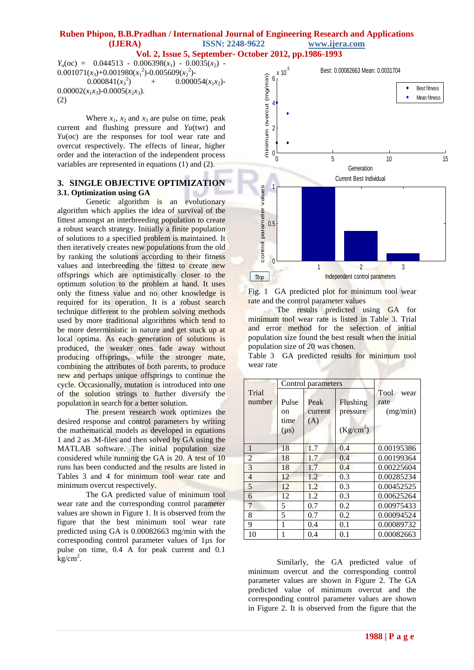$Y_u(\text{oc}) = 0.044513 - 0.006398(x_1) - 0.0035(x_2)$  $0.001071(x_3)+0.001980(x_1^2)-0.005609(x_2^2)$  $0.000841(x_3^2)$ +  $0.000054(x_1x_2)$ - $0.00002(x_1x_3)-0.0005(x_2x_3).$ (2)

Where  $x_1$ ,  $x_2$  and  $x_3$  are pulse on time, peak current and flushing pressure and *Yu*(twr) and *Yu*(oc) are the responses for tool wear rate and overcut respectively. The effects of linear, higher order and the interaction of the independent process variables are represented in equations (1) and (2).

#### **3. SINGLE OBJECTIVE OPTIMIZATION 3.1. Optimization using GA**

Genetic algorithm is an evolutionary algorithm which applies the idea of survival of the fittest amongst an interbreeding population to create a robust search strategy. Initially a finite population of solutions to a specified problem is maintained. It then iteratively creates new populations from the old by ranking the solutions according to their fitness values and interbreeding the fittest to create new offsprings which are optimistically closer to the optimum solution to the problem at hand. It uses only the fitness value and no other knowledge is required for its operation. It is a robust search technique different to the problem solving methods used by more traditional algorithms which tend to be more deterministic in nature and get stuck up at local optima. As each generation of solutions is produced, the weaker ones fade away without producing offsprings, while the stronger mate, combining the attributes of both parents, to produce new and perhaps unique offsprings to continue the cycle. Occasionally, mutation is introduced into one of the solution strings to further diversify the population in search for a better solution.

The present research work optimizes the desired response and control parameters by writing the mathematical models as developed in equations 1 and 2 as .M-files and then solved by GA using the MATLAB software. The initial population size considered while running the GA is 20. A test of 10 runs has been conducted and the results are listed in Tables 3 and 4 for minimum tool wear rate and minimum overcut respectively.

The GA predicted value of minimum tool wear rate and the corresponding control parameter values are shown in Figure 1. It is observed from the figure that the best minimum tool wear rate predicted using GA is 0.00082663 mg/min with the corresponding control parameter values of 1µs for pulse on time, 0.4 A for peak current and 0.1  $kg/cm<sup>2</sup>$ .



Fig. 1 GA predicted plot for minimum tool wear rate and the control parameter values

The results predicted using GA for minimum tool wear rate is listed in Table 3. Trial and error method for the selection of initial population size found the best result when the initial population size of 20 was chosen.

Table 3 GA predicted results for minimum tool wear rate

|                 |                                  | Control parameters     |                                               |                                  |
|-----------------|----------------------------------|------------------------|-----------------------------------------------|----------------------------------|
| Trial<br>number | Pulse<br>on<br>time<br>$(\mu s)$ | Peak<br>current<br>(A) | Flushing<br>pressure<br>(Kg/cm <sup>2</sup> ) | Tool<br>wear<br>rate<br>(mg/min) |
| 1               | 18                               | 1.7                    | 0.4                                           | 0.00195386                       |
| $\overline{2}$  | 18                               | 1.7                    | 0.4                                           | 0.00199364                       |
| 3               | 18                               | 1.7                    | 0.4                                           | 0.00225604                       |
| $\overline{4}$  | 12                               | 1.2                    | 0.3                                           | 0.00285234                       |
| 5               | 12                               | 1.2                    | 0.3                                           | 0.00452525                       |
| 6               | 12                               | 1.2                    | 0.3                                           | 0.00625264                       |
| 7               | 5                                | 0.7                    | 0.2                                           | 0.00975433                       |
| 8               | 5                                | 0.7                    | 0.2                                           | 0.00094524                       |
| 9               | 1                                | 0.4                    | 0.1                                           | 0.00089732                       |
| 10              |                                  | 0.4                    | 0.1                                           | 0.00082663                       |

Similarly, the GA predicted value of minimum overcut and the corresponding control parameter values are shown in Figure 2. The GA predicted value of minimum overcut and the corresponding control parameter values are shown in Figure 2. It is observed from the figure that the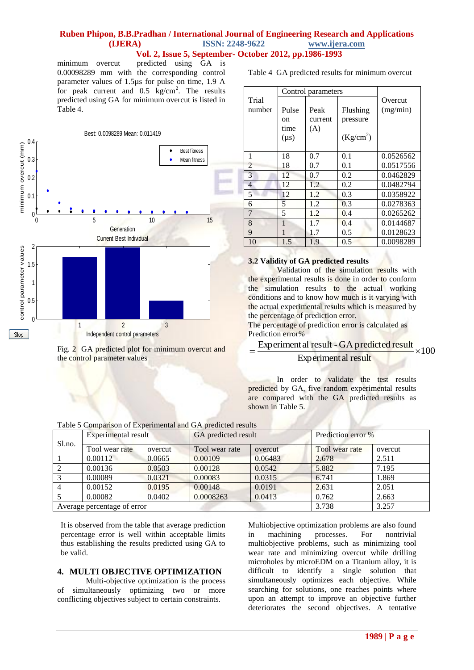minimum overcut predicted using GA is 0.00098289 mm with the corresponding control parameter values of 1.5µs for pulse on time, 1.9 A for peak current and  $0.5 \text{ kg/cm}^2$ . The results predicted using GA for minimum overcut is listed in Table 4.



Fig. 2 GA predicted plot for minimum overcut and the control parameter values

Table 4 GA predicted results for minimum overcut

|                | Control parameters |         |                       |           |
|----------------|--------------------|---------|-----------------------|-----------|
| Trial          |                    |         |                       | Overcut   |
| number         | Pulse              | Peak    | Flushing              | (mg/min)  |
|                | on                 | current | pressure              |           |
|                | time               | (A)     |                       |           |
|                | $(\mu s)$          |         | (Kg/cm <sup>2</sup> ) |           |
|                |                    |         |                       |           |
| 1              | 18                 | 0.7     | 0.1                   | 0.0526562 |
| $\overline{2}$ | 18                 | 0.7     | 0.1                   | 0.0517556 |
| 3              | 12                 | 0.7     | 0.2                   | 0.0462829 |
| 4              | 12                 | 1.2     | 0.2                   | 0.0482794 |
| 5              | 12                 | 1.2     | 0.3                   | 0.0358922 |
| 6              | 5                  | 1.2.    | 0.3                   | 0.0278363 |
| $\overline{7}$ | 5                  | 1.2     | 0.4                   | 0.0265262 |
| 8              | $\mathbf{1}$       | 1.7     | 0.4                   | 0.0144687 |
| 9              | 1                  | 1.7     | 0.5                   | 0.0128623 |
| 10             | 1.5                | 1.9     | 0.5                   | 0.0098289 |

#### **3.2 Validity of GA predicted results**

Validation of the simulation results with the experimental results is done in order to conform the simulation results to the actual working conditions and to know how much is it varying with the actual experimental results which is measured by the percentage of prediction error.

The percentage of prediction error is calculated as Prediction error*%* 

#### $\times$ 100  $=\frac{Experiment \,al \, result - GA \, predicted \, result}{} \times$

#### Experimental result

In order to validate the test results predicted by GA, five random experimental results are compared with the GA predicted results as shown in Table 5.

|  |  | Table 5 Comparison of Experimental and GA predicted results |  |
|--|--|-------------------------------------------------------------|--|
|  |  |                                                             |  |

|                                     | Experimental result |                           | GA predicted result |                | Prediction error % |       |
|-------------------------------------|---------------------|---------------------------|---------------------|----------------|--------------------|-------|
| Sl.no.<br>Tool wear rate<br>overcut |                     | Tool wear rate<br>overcut |                     | Tool wear rate | overcut            |       |
|                                     | 0.00112             | 0.0665                    | 0.00109             | 0.06483        | 2.678              | 2.511 |
|                                     | 0.00136             | 0.0503                    | 0.00128             | 0.0542         | 5.882              | 7.195 |
|                                     | 0.00089             | 0.0321                    | 0.00083             | 0.0315         | 6.741              | 1.869 |
|                                     | 0.00152             | 0.0195                    | 0.00148             | 0.0191         | 2.631              | 2.051 |
|                                     | 0.00082             | 0.0402                    | 0.0008263           | 0.0413         | 0.762              | 2.663 |
| Average percentage of error         |                     |                           |                     |                | 3.738              | 3.257 |

It is observed from the table that average prediction percentage error is well within acceptable limits thus establishing the results predicted using GA to be valid.

#### **4. MULTI OBJECTIVE OPTIMIZATION**

Multi-objective optimization is the process of simultaneously optimizing two or more conflicting objectives subject to certain constraints.

Multiobjective optimization problems are also found in machining processes. For nontrivial multiobjective problems, such as minimizing tool wear rate and minimizing overcut while drilling microholes by microEDM on a Titanium alloy, it is difficult to identify a single solution that simultaneously optimizes each objective. While searching for solutions, one reaches points where upon an attempt to improve an objective further deteriorates the second objectives. A tentative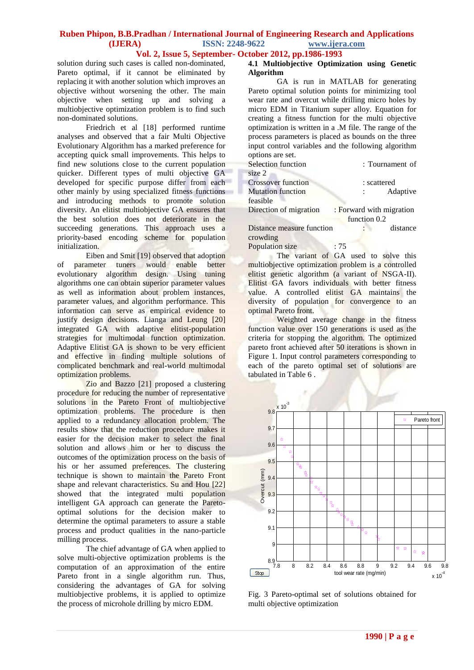# **Ruben Phipon, B.B.Pradhan / International Journal of Engineering Research and Applications (IJERA) ISSN: 2248-9622 www.ijera.com**

### **Vol. 2, Issue 5, September- October 2012, pp.1986-1993**

solution during such cases is called non-dominated, Pareto optimal, if it cannot be eliminated by replacing it with another solution which improves an objective without worsening the other. The main objective when setting up and solving a multiobjective optimization problem is to find such non-dominated solutions.

Friedrich et al [18] performed runtime analyses and observed that a fair Multi Objective Evolutionary Algorithm has a marked preference for accepting quick small improvements. This helps to find new solutions close to the current population quicker. Different types of multi objective GA developed for specific purpose differ from each other mainly by using specialized fitness functions and introducing methods to promote solution diversity. An elitist multiobjective GA ensures that the best solution does not deteriorate in the succeeding generations. This approach uses a priority-based encoding scheme for population initialization.

Eiben and Smit [19] observed that adoption of parameter tuners would enable better evolutionary algorithm design. Using tuning algorithms one can obtain superior parameter values as well as information about problem instances, parameter values, and algorithm performance. This information can serve as empirical evidence to justify design decisions. Lianga and Leung [20] integrated GA with adaptive elitist-population strategies for multimodal function optimization. Adaptive Elitist GA is shown to be very efficient and effective in finding multiple solutions of complicated benchmark and real-world multimodal optimization problems.

Zio and Bazzo [21] proposed a clustering procedure for reducing the number of representative solutions in the Pareto Front of multiobjective optimization problems. The procedure is then applied to a redundancy allocation problem. The results show that the reduction procedure makes it easier for the decision maker to select the final solution and allows him or her to discuss the outcomes of the optimization process on the basis of his or her assumed preferences. The clustering technique is shown to maintain the Pareto Front shape and relevant characteristics. Su and Hou [22] showed that the integrated multi population intelligent GA approach can generate the Paretooptimal solutions for the decision maker to determine the optimal parameters to assure a stable process and product qualities in the nano-particle milling process.

The chief advantage of GA when applied to solve multi-objective optimization problems is the computation of an approximation of the entire Pareto front in a single algorithm run. Thus, considering the advantages of GA for solving multiobjective problems, it is applied to optimize the process of microhole drilling by micro EDM.

#### **4.1 Multiobjective Optimization using Genetic Algorithm**

GA is run in MATLAB for generating Pareto optimal solution points for minimizing tool wear rate and overcut while drilling micro holes by micro EDM in Titanium super alloy. Equation for creating a fitness function for the multi objective optimization is written in a .M file. The range of the process parameters is placed as bounds on the three input control variables and the following algorithm options are set.

| Selection function        | : Tournament of                        |
|---------------------------|----------------------------------------|
| size 2                    |                                        |
| <b>Crossover function</b> | : scattered                            |
| <b>Mutation function</b>  | Adaptive<br>$\mathcal{L}^{\text{max}}$ |
| feasible                  |                                        |
| Direction of migration    | : Forward with migration               |
|                           | function 0.2                           |
| Distance measure function | distance<br><b>Contract Contract</b>   |
| crowding                  |                                        |

Population size : 75

The variant of GA used to solve this multiobjective optimization problem is a controlled elitist genetic algorithm (a variant of NSGA-II). Elitist GA favors individuals with better fitness value. A controlled elitist GA maintains the diversity of population for convergence to an optimal Pareto front.

Weighted average change in the fitness function value over 150 generations is used as the criteria for stopping the algorithm. The optimized pareto front achieved after 50 iterations is shown in Figure 1. Input control parameters corresponding to each of the pareto optimal set of solutions are tabulated in Table 6 .



Fig. 3 Pareto-optimal set of solutions obtained for multi objective optimization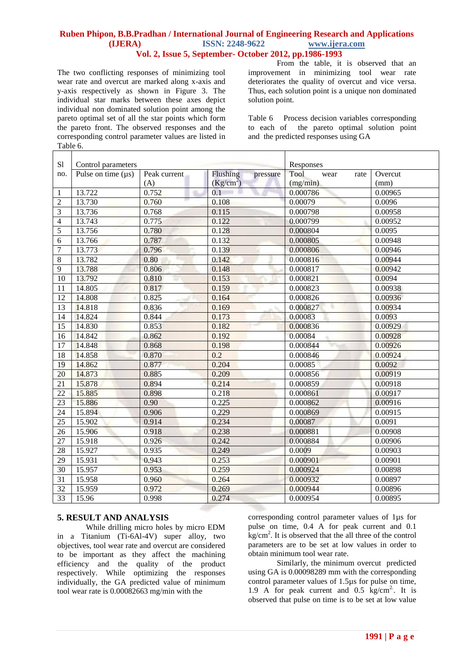The two conflicting responses of minimizing tool wear rate and overcut are marked along x-axis and y-axis respectively as shown in Figure 3. The individual star marks between these axes depict individual non dominated solution point among the pareto optimal set of all the star points which form the pareto front. The observed responses and the corresponding control parameter values are listed in Table 6.

From the table, it is observed that an improvement in minimizing tool wear rate deteriorates the quality of overcut and vice versa. Thus, each solution point is a unique non dominated solution point.

Table 6 Process decision variables corresponding to each of the pareto optimal solution point and the predicted responses using GA

| S1                       | Control parameters      |              | Responses             |                      |         |
|--------------------------|-------------------------|--------------|-----------------------|----------------------|---------|
| no.                      | Pulse on time $(\mu s)$ | Peak current | Flushing<br>pressure  | Tool<br>wear<br>rate | Overcut |
|                          |                         | (A)          | (Kg/cm <sup>2</sup> ) | (mg/min)             | (mm)    |
| $\mathbf{1}$             | 13.722                  | 0.752        | 0.1                   | 0.000786             | 0.00965 |
| $\overline{c}$           | 13.730                  | 0.760        | 0.108                 | 0.00079              | 0.0096  |
| 3                        | 13.736                  | 0.768        | 0.115                 | 0.000798             | 0.00958 |
| $\overline{\mathcal{L}}$ | 13.743                  | 0.775        | 0.122                 | 0.000799             | 0.00952 |
| 5                        | 13.756                  | 0.780        | 0.128                 | 0.000804             | 0.0095  |
| 6                        | 13.766                  | 0.787        | 0.132                 | 0.000805             | 0.00948 |
| $\overline{7}$           | 13.773                  | 0.796        | 0.139                 | 0.000806             | 0.00946 |
| 8                        | 13.782                  | 0.80         | 0.142                 | 0.000816             | 0.00944 |
| $\overline{9}$           | 13.788                  | 0.806        | 0.148                 | 0.000817             | 0.00942 |
| 10                       | 13.792                  | 0.810        | 0.153                 | 0.000821             | 0.0094  |
| 11                       | 14.805                  | 0.817        | 0.159                 | 0.000823             | 0.00938 |
| 12                       | 14.808                  | 0.825        | 0.164                 | 0.000826             | 0.00936 |
| 13                       | 14.818                  | 0.836        | 0.169                 | 0.000827             | 0.00934 |
| 14                       | 14.824                  | 0.844        | 0.173                 | 0.00083              | 0.0093  |
| 15                       | 14.830                  | 0.853        | 0.182                 | 0.000836             | 0.00929 |
| 16                       | 14.842                  | 0.862        | 0.192                 | 0.00084              | 0.00928 |
| 17                       | 14.848                  | 0.868        | 0.198                 | 0.000844             | 0.00926 |
| 18                       | 14.858                  | 0.870        | 0.2                   | 0.000846             | 0.00924 |
| 19                       | 14.862                  | 0.877        | 0.204                 | 0.00085              | 0.0092  |
| 20                       | 14.873                  | 0.885        | 0.209                 | 0.000856             | 0.00919 |
| 21                       | 15.878                  | 0.894        | 0.214                 | 0.000859             | 0.00918 |
| 22                       | 15.885                  | 0.898        | 0.218                 | 0.000861             | 0.00917 |
| 23                       | 15.886                  | 0.90         | 0.225                 | 0.000862             | 0.00916 |
| 24                       | 15.894                  | 0.906        | 0.229                 | 0.000869             | 0.00915 |
| 25                       | 15.902                  | 0.914        | 0.234                 | 0.00087              | 0.0091  |
| 26                       | 15.906                  | 0.918        | 0.238                 | 0.000881             | 0.00908 |
| 27                       | 15.918                  | 0.926        | 0.242                 | 0.000884             | 0.00906 |
| 28                       | 15.927                  | 0.935        | 0.249                 | 0.0009               | 0.00903 |
| 29                       | 15.931                  | 0.943        | 0.253                 | 0.000901             | 0.00901 |
| 30                       | 15.957                  | 0.953        | 0.259                 | 0.000924             | 0.00898 |
| 31                       | 15.958                  | 0.960        | 0.264                 | 0.000932             | 0.00897 |
| 32                       | 15.959                  | 0.972        | 0.269                 | 0.000944             | 0.00896 |
| 33                       | 15.96                   | 0.998        | 0.274                 | 0.000954             | 0.00895 |

#### **5. RESULT AND ANALYSIS**

While drilling micro holes by micro EDM in a Titanium (Ti-6Al-4V) super alloy, two objectives, tool wear rate and overcut are considered to be important as they affect the machining efficiency and the quality of the product respectively. While optimizing the responses individually, the GA predicted value of minimum tool wear rate is 0.00082663 mg/min with the

corresponding control parameter values of 1µs for pulse on time, 0.4 A for peak current and 0.1  $\text{kg/cm}^2$ . It is observed that the all three of the control parameters are to be set at low values in order to obtain minimum tool wear rate.

Similarly, the minimum overcut predicted using GA is 0.00098289 mm with the corresponding control parameter values of 1.5µs for pulse on time, 1.9 A for peak current and  $0.5 \text{ kg/cm}^2$ . It is observed that pulse on time is to be set at low value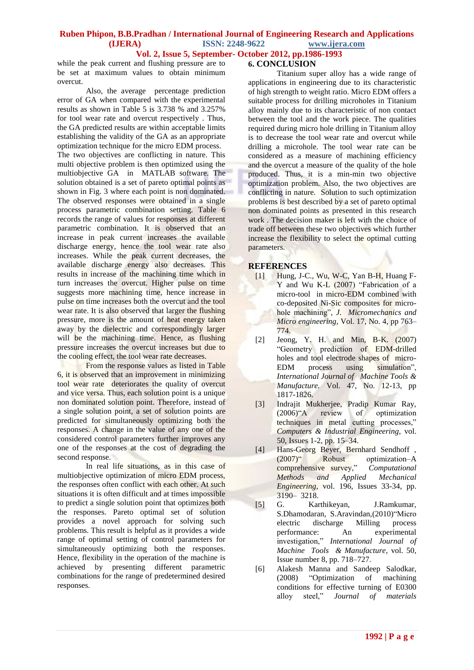while the peak current and flushing pressure are to be set at maximum values to obtain minimum overcut.

Also, the average percentage prediction error of GA when compared with the experimental results as shown in Table 5 is 3.738 % and 3.257% for tool wear rate and overcut respectively . Thus, the GA predicted results are within acceptable limits establishing the validity of the GA as an appropriate optimization technique for the micro EDM process. The two objectives are conflicting in nature. This multi objective problem is then optimized using the multiobjective GA in MATLAB software. The solution obtained is a set of pareto optimal points as shown in Fig. 3 where each point is non dominated. The observed responses were obtained in a single process parametric combination setting. Table 6 records the range of values for responses at different parametric combination. It is observed that an increase in peak current increases the available discharge energy, hence the tool wear rate also increases. While the peak current decreases, the available discharge energy also decreases. This results in increase of the machining time which in turn increases the overcut. Higher pulse on time suggests more machining time, hence increase in pulse on time increases both the overcut and the tool wear rate. It is also observed that larger the flushing pressure, more is the amount of heat energy taken away by the dielectric and correspondingly larger will be the machining time. Hence, as flushing pressure increases the overcut increases but due to the cooling effect, the tool wear rate decreases.

From the response values as listed in Table 6, it is observed that an improvement in minimizing tool wear rate deteriorates the quality of overcut and vice versa. Thus, each solution point is a unique non dominated solution point. Therefore, instead of a single solution point, a set of solution points are predicted for simultaneously optimizing both the responses. A change in the value of any one of the considered control parameters further improves any one of the responses at the cost of degrading the second response.

In real life situations, as in this case of multiobjective optimization of micro EDM process, the responses often conflict with each other. At such situations it is often difficult and at times impossible to predict a single solution point that optimizes both the responses. Pareto optimal set of solution provides a novel approach for solving such problems. This result is helpful as it provides a wide range of optimal setting of control parameters for simultaneously optimizing both the responses. Hence, flexibility in the operation of the machine is achieved by presenting different parametric combinations for the range of predetermined desired responses.

## **6. CONCLUSION**

Titanium super alloy has a wide range of applications in engineering due to its characteristic of high strength to weight ratio. Micro EDM offers a suitable process for drilling microholes in Titanium alloy mainly due to its characteristic of non contact between the tool and the work piece. The qualities required during micro hole drilling in Titanium alloy is to decrease the tool wear rate and overcut while drilling a microhole. The tool wear rate can be considered as a measure of machining efficiency and the overcut a measure of the quality of the hole produced. Thus, it is a min-min two objective optimization problem. Also, the two objectives are conflicting in nature. Solution to such optimization problems is best described by a set of pareto optimal non dominated points as presented in this research work . The decision maker is left with the choice of trade off between these two objectives which further increase the flexibility to select the optimal cutting parameters.

#### **REFERENCES**

- [1] Hung, J-C., Wu, W-C, Yan B-H, Huang F-Y and Wu K-L (2007) "Fabrication of a micro-tool in micro-EDM combined with co-deposited Ni-Sic composites for microhole machining", *J. Micromechanics and Micro engineering,* Vol. 17, No. 4, pp 763– 774.
- [2] Jeong, Y. H. and Min, B-K. (2007) "Geometry prediction of EDM-drilled holes and tool electrode shapes of micro-EDM process using simulation", *International Journal of Machine Tools & Manufacture.* Vol. 47, No. 12-13, pp 1817-1826.
- [3] Indrajit Mukherjee, Pradip Kumar Ray, (2006)"A review of optimization techniques in metal cutting processes," *Computers & Industrial Engineering*, vol. 50, Issues 1-2, pp. 15–34.
- [4] Hans-Georg Beyer, Bernhard Sendhoff , (2007)" Robust optimization–A comprehensive survey," *Computational Methods and Applied Mechanical Engineering*, vol. 196, Issues 33-34, pp. 3190– 3218.
- [5] G. Karthikeyan, J.Ramkumar, S.Dhamodaran, S.Aravindan,(2010)"Micro electric discharge Milling process performance: An experimental investigation," *International Journal of Machine Tools & Manufacture*, vol. 50, Issue number 8, pp. 718–727.
- [6] Alakesh Manna and Sandeep Salodkar, (2008) "Optimization of machining conditions for effective turning of E0300 alloy steel," *Journal of materials*